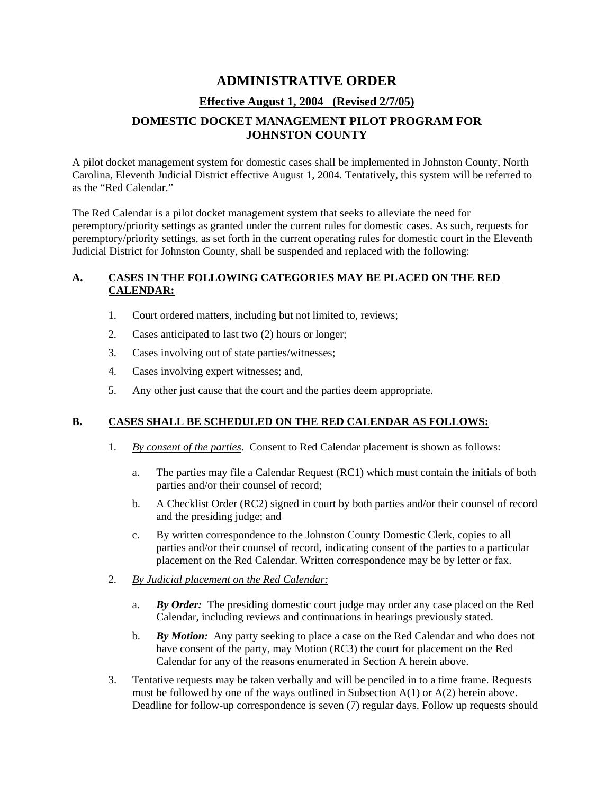# **ADMINISTRATIVE ORDER**

## **Effective August 1, 2004 (Revised 2/7/05)**

## **DOMESTIC DOCKET MANAGEMENT PILOT PROGRAM FOR JOHNSTON COUNTY**

A pilot docket management system for domestic cases shall be implemented in Johnston County, North Carolina, Eleventh Judicial District effective August 1, 2004. Tentatively, this system will be referred to as the "Red Calendar."

The Red Calendar is a pilot docket management system that seeks to alleviate the need for peremptory/priority settings as granted under the current rules for domestic cases. As such, requests for peremptory/priority settings, as set forth in the current operating rules for domestic court in the Eleventh Judicial District for Johnston County, shall be suspended and replaced with the following:

#### **A. CASES IN THE FOLLOWING CATEGORIES MAY BE PLACED ON THE RED CALENDAR:**

- 1. Court ordered matters, including but not limited to, reviews;
- 2. Cases anticipated to last two (2) hours or longer;
- 3. Cases involving out of state parties/witnesses;
- 4. Cases involving expert witnesses; and,
- 5. Any other just cause that the court and the parties deem appropriate.

#### **B. CASES SHALL BE SCHEDULED ON THE RED CALENDAR AS FOLLOWS:**

- 1. *By consent of the parties*. Consent to Red Calendar placement is shown as follows:
	- a. The parties may file a Calendar Request (RC1) which must contain the initials of both parties and/or their counsel of record;
	- b. A Checklist Order (RC2) signed in court by both parties and/or their counsel of record and the presiding judge; and
	- c. By written correspondence to the Johnston County Domestic Clerk, copies to all parties and/or their counsel of record, indicating consent of the parties to a particular placement on the Red Calendar. Written correspondence may be by letter or fax.
- 2. *By Judicial placement on the Red Calendar:*
	- a. *By Order:* The presiding domestic court judge may order any case placed on the Red Calendar, including reviews and continuations in hearings previously stated.
	- b. *By Motion:* Any party seeking to place a case on the Red Calendar and who does not have consent of the party, may Motion (RC3) the court for placement on the Red Calendar for any of the reasons enumerated in Section A herein above.
- 3. Tentative requests may be taken verbally and will be penciled in to a time frame. Requests must be followed by one of the ways outlined in Subsection  $A(1)$  or  $A(2)$  herein above. Deadline for follow-up correspondence is seven (7) regular days. Follow up requests should